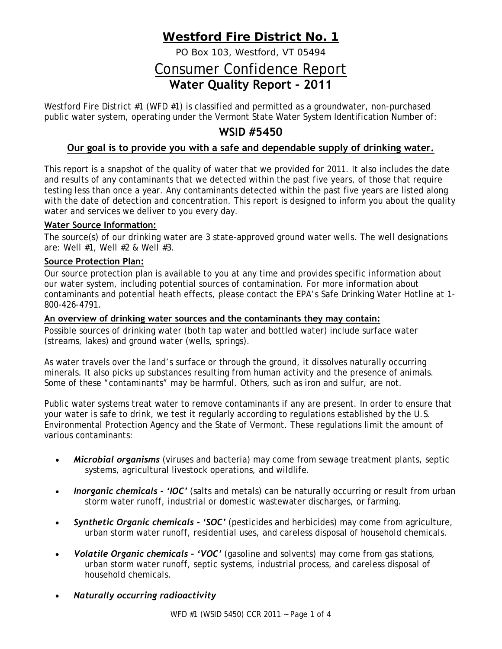# **Westford Fire District No. 1**

PO Box 103, Westford, VT 05494

# Consumer Confidence Report **Water Quality Report – 2011**

Westford Fire District #1 (WFD #1) is classified and permitted as a groundwater, non-purchased public water system, operating under the Vermont State Water System Identification Number of:

## **WSID #5450**

### **Our goal is to provide you with a safe and dependable supply of drinking water.**

This report is a snapshot of the quality of water that we provided for 2011. It also includes the date and results of any contaminants that we detected within the past five years, of those that require testing less than once a year. Any contaminants detected within the past five years are listed along with the date of detection and concentration. This report is designed to inform you about the quality water and services we deliver to you every day.

#### **Water Source Information:**

The source(s) of our drinking water are 3 state-approved ground water wells. The well designations are: Well #1, Well #2 & Well #3.

#### **Source Protection Plan:**

Our source protection plan is available to you at any time and provides specific information about our water system, including potential sources of contamination. For more information about contaminants and potential heath effects, please contact the EPA's Safe Drinking Water Hotline at 1- 800-426-4791.

#### **An overview of drinking water sources and the contaminants they may contain:**

Possible sources of drinking water (both tap water and bottled water) include surface water (streams, lakes) and ground water (wells, springs).

As water travels over the land's surface or through the ground, it dissolves naturally occurring minerals. It also picks up substances resulting from human activity and the presence of animals. Some of these "contaminants" may be harmful. Others, such as iron and sulfur, are not.

Public water systems treat water to remove contaminants if any are present. In order to ensure that your water is safe to drink, we test it regularly according to regulations established by the U.S. Environmental Protection Agency and the State of Vermont. These regulations limit the amount of various contaminants:

- *Microbial organisms* (viruses and bacteria) may come from sewage treatment plants, septic systems, agricultural livestock operations, and wildlife.
- *Inorganic chemicals - 'IOC'* (salts and metals) can be naturally occurring or result from urban storm water runoff, industrial or domestic wastewater discharges, or farming.
- *Synthetic Organic chemicals - 'SOC'* (pesticides and herbicides) may come from agriculture, urban storm water runoff, residential uses, and careless disposal of household chemicals.
- *Volatile Organic chemicals – 'VOC'* (gasoline and solvents) may come from gas stations, urban storm water runoff, septic systems, industrial process, and careless disposal of household chemicals.
- *Naturally occurring radioactivity*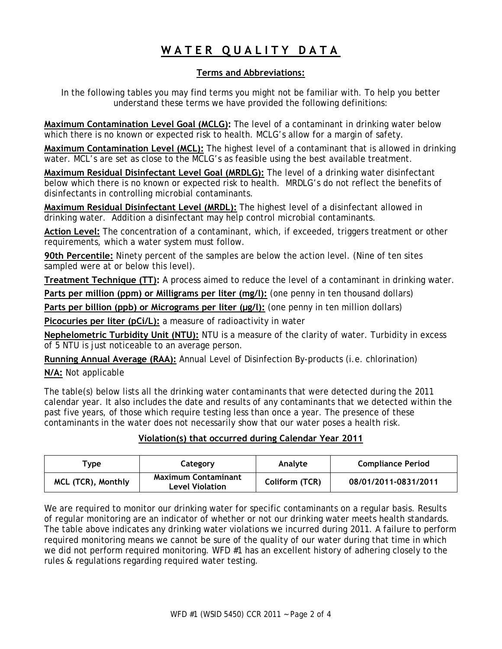# **WATER QUALITY DATA**

### **Terms and Abbreviations:**

In the following tables you may find terms you might not be familiar with. To help you better understand these terms we have provided the following definitions:

**Maximum Contamination Level Goal (MCLG):** The level of a contaminant in drinking water below which there is no known or expected risk to health. MCLG's allow for a margin of safety.

**Maximum Contamination Level (MCL):** The highest level of a contaminant that is allowed in drinking water. MCL's are set as close to the MCLG's as feasible using the best available treatment.

**Maximum Residual Disinfectant Level Goal (MRDLG):** The level of a drinking water disinfectant below which there is no known or expected risk to health. MRDLG's do not reflect the benefits of disinfectants in controlling microbial contaminants.

**Maximum Residual Disinfectant Level (MRDL):** The highest level of a disinfectant allowed in drinking water. Addition a disinfectant may help control microbial contaminants.

**Action Level:** The concentration of a contaminant, which, if exceeded, triggers treatment or other requirements, which a water system must follow.

**90th Percentile:** Ninety percent of the samples are below the action level. (Nine of ten sites sampled were at or below this level).

**Treatment Technique (TT):** A process aimed to reduce the level of a contaminant in drinking water.

**Parts per million (ppm) or Milligrams per liter (mg/l):** (one penny in ten thousand dollars)

**Parts per billion (ppb) or Micrograms per liter (µg/l):** (one penny in ten million dollars)

Picocuries per liter (pCi/L): a measure of radioactivity in water

**Nephelometric Turbidity Unit (NTU):** NTU is a measure of the clarity of water. Turbidity in excess of 5 NTU is just noticeable to an average person.

**Running Annual Average (RAA):** Annual Level of Disinfection By-products (i.e. chlorination)

**N/A:** Not applicable

The table(s) below lists all the drinking water contaminants that were detected during the 2011 calendar year. It also includes the date and results of any contaminants that we detected within the past five years, of those which require testing less than once a year. The presence of these contaminants in the water does not necessarily show that our water poses a health risk.

### **Violation(s) that occurred during Calendar Year 2011**

| Tvpe                      | Category                                      | Analyte        | <b>Compliance Period</b> |  |
|---------------------------|-----------------------------------------------|----------------|--------------------------|--|
| <b>MCL (TCR), Monthly</b> | <b>Maximum Contaminant</b><br>Level Violation | Coliform (TCR) | 08/01/2011-0831/2011     |  |

We are required to monitor our drinking water for specific contaminants on a regular basis. Results of regular monitoring are an indicator of whether or not our drinking water meets health standards. The table above indicates any drinking water violations we incurred during 2011. A failure to perform required monitoring means we cannot be sure of the quality of our water during that time in which we did not perform required monitoring. WFD #1 has an excellent history of adhering closely to the rules & regulations regarding required water testing.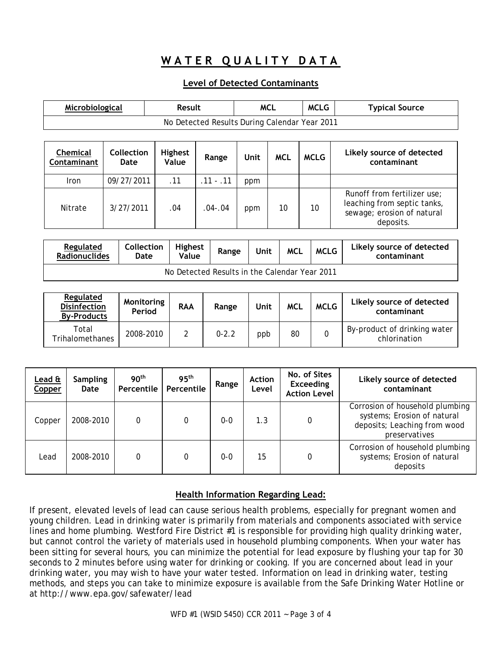# **WATER QUALITY DATA**

### **Level of Detected Contaminants**

| Microbiological                               |                    | Result                  |             | <b>MCL</b> |            | <b>MCLG</b> | <b>Typical Source</b>                                                                                 |  |  |
|-----------------------------------------------|--------------------|-------------------------|-------------|------------|------------|-------------|-------------------------------------------------------------------------------------------------------|--|--|
| No Detected Results During Calendar Year 2011 |                    |                         |             |            |            |             |                                                                                                       |  |  |
|                                               |                    |                         |             |            |            |             |                                                                                                       |  |  |
| <b>Chemical</b><br>Contaminant                | Collection<br>Date | <b>Highest</b><br>Value | Range       | Unit       | <b>MCL</b> | <b>MCLG</b> | Likely source of detected<br>contaminant                                                              |  |  |
| <b>Iron</b>                                   | 09/27/2011         | .11                     | $.11 - .11$ | ppm        |            |             |                                                                                                       |  |  |
| Nitrate                                       | 3/27/2011          | .04                     | $.04 - .04$ | ppm        | 10         | 10          | Runoff from fertilizer use;<br>leaching from septic tanks,<br>sewage; erosion of natural<br>deposits. |  |  |

| <b>Regulated</b><br><b>Radionuclides</b>      | <b>Collection</b><br>Date | Highest<br>Value | Range | Unit | <b>MCL</b> | <b>MCLG</b> | Likely source of detected<br>contaminant |  |
|-----------------------------------------------|---------------------------|------------------|-------|------|------------|-------------|------------------------------------------|--|
| No Detected Results in the Calendar Year 2011 |                           |                  |       |      |            |             |                                          |  |

| Regulated<br><b>Disinfection</b><br><b>By-Products</b> | Monitoring<br>Period | <b>RAA</b> | Range     | Unit | <b>MCL</b> | <b>MCLG</b> | Likely source of detected<br>contaminant     |
|--------------------------------------------------------|----------------------|------------|-----------|------|------------|-------------|----------------------------------------------|
| Total<br><b>Trihalomethanes</b>                        | 2008-2010            |            | $0 - 2.2$ | ppb  | 80         |             | By-product of drinking water<br>chlorination |

| Lead &<br>Copper | <b>Sampling</b><br>Date | 90 <sup>th</sup><br>Percentile | 95 <sup>th</sup><br>Percentile | Range   | <b>Action</b><br>Level | No. of Sites<br><b>Exceeding</b><br><b>Action Level</b> | Likely source of detected<br>contaminant                                                                        |
|------------------|-------------------------|--------------------------------|--------------------------------|---------|------------------------|---------------------------------------------------------|-----------------------------------------------------------------------------------------------------------------|
| Copper           | 2008-2010               | 0                              | 0                              | $0 - 0$ | 1.3                    |                                                         | Corrosion of household plumbing<br>systems; Erosion of natural<br>deposits; Leaching from wood<br>preservatives |
| Lead             | 2008-2010               | 0                              | 0                              | $0 - 0$ | 15                     |                                                         | Corrosion of household plumbing<br>systems; Erosion of natural<br>deposits                                      |

#### **Health Information Regarding Lead:**

If present, elevated levels of lead can cause serious health problems, especially for pregnant women and young children. Lead in drinking water is primarily from materials and components associated with service lines and home plumbing. Westford Fire District #1 is responsible for providing high quality drinking water, but cannot control the variety of materials used in household plumbing components. When your water has been sitting for several hours, you can minimize the potential for lead exposure by flushing your tap for 30 seconds to 2 minutes before using water for drinking or cooking. If you are concerned about lead in your drinking water, you may wish to have your water tested. Information on lead in drinking water, testing methods, and steps you can take to minimize exposure is available from the Safe Drinking Water Hotline or at <http://www.epa.gov/safewater/lead>